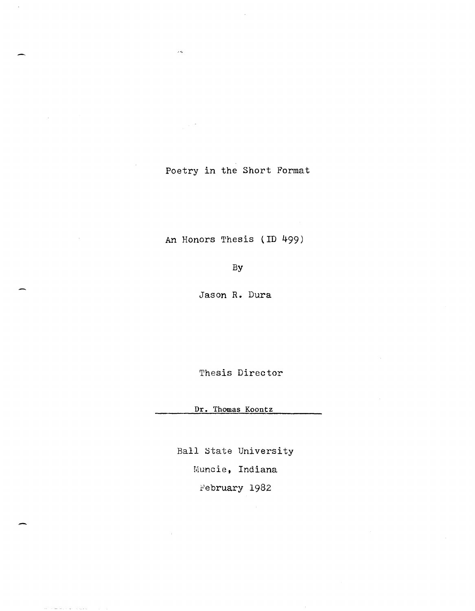Poetry in the Short Format

 $\sim$ 

 $\mathcal{A}^{\mathcal{A}}$ 

J.

An Honors Thesis (ID 499)

By

Jason R. Dura

Thesis Director

Dr. Thomas Koontz

Ball state University

Muncie, Indiana

February 1982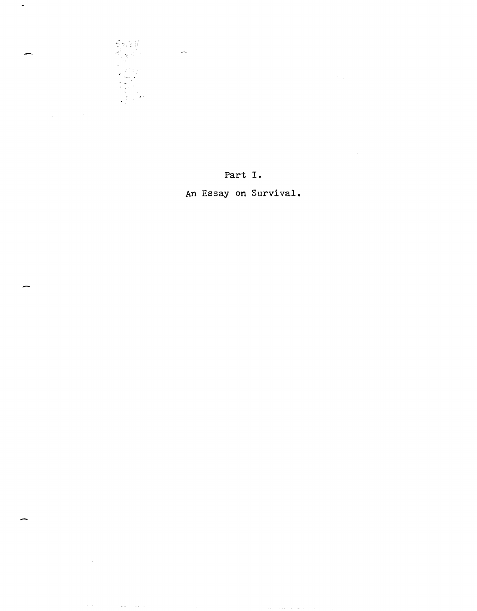

الأولى المتعارضين فقصت والانتجاب والمنافر

 $\sim$   $\sim$ 

 $\mathcal{A}$ 

 $\hat{\mathcal{A}}$ 

### Part **I.**

**An** Essay **on Survival.**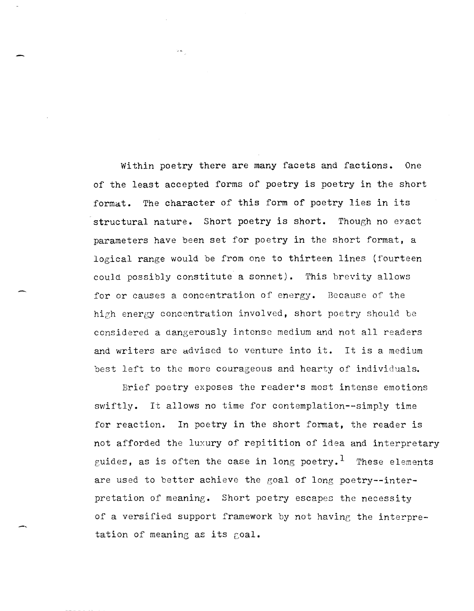Within poetry there are many facets and factions. One of the least accepted forms of poetry is poetry in the short format. The character of this form of poetry lies in its structural nature. Short poetry is short. Though no eyact parameters have been set for poetry in the short format, a logical range would be from one to thirteen lines (fourteen could possibly constitute a sonnet). This brevity allows for or causes a concentration of energy. Because of the high energy concentration involved, short poetry should be considered a dangerously intense medium and not all readers and writers are advised to venture into it. It is a medium best left to the more courageous and hearty of individuals.

Brief poetry exposes the reader's most intense emotions swiftly. It allows no time for contemplation--simply time for reaction. In poetry in the short format, the reader is not afforded the luxury of repitition of idea and interpretary guides, as is often the case in long poetry.<sup>1</sup> These elements are used to better achieve the goal of long poetry--interpretation of meaning. Short poetry escapes the necessity of a versified support framework by not having the interpretation of meaning as its goal.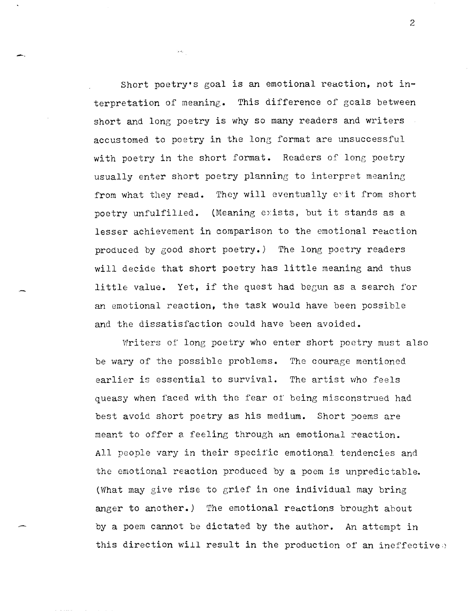Short poetry's goal is an emotional reaction, not interpretation of meaning. This difference of goals between short and long poetry is why so many readers and writers accustomed to poetry in the long format are unsuccessful with poetry in the short format. Readers of long poetry usually enter short poetry planning to interpret meaning from what they read. They will eventually exit from short poetry unfulfilled. (Meaning exists, but it stands as a lesser achievement in comparison to the emotional reaction produced by good short poetry.) The long poetry readers will decide that short poetry has little meaning and thus little value. Yet, if the quest had begun as a search for an emotional reaction, the task would have been possible and the dissatisfaction could have been avoided.

 $\lambda$  -  $\lambda_{\rm s}$ 

-.

Writers of long poetry who enter short poetry must also be wary of the possible problems. The courage mentioned earlier is essential to survival. The artist who feels queasy when faced with the fear of being misconstrued had best avoid short poetry as his medium. Short poems are meant to offer a feeling through an emotional reaction. All people vary in their specific emotional tendencies and the emotional reaction produced by a poem is unpredictable. (What may give rise to grief in one individual may bring anger to another.) The emotional reactions brought about by a poem cannot be dictated by the author. An attempt in this direction will result in the production of an ineffective.

2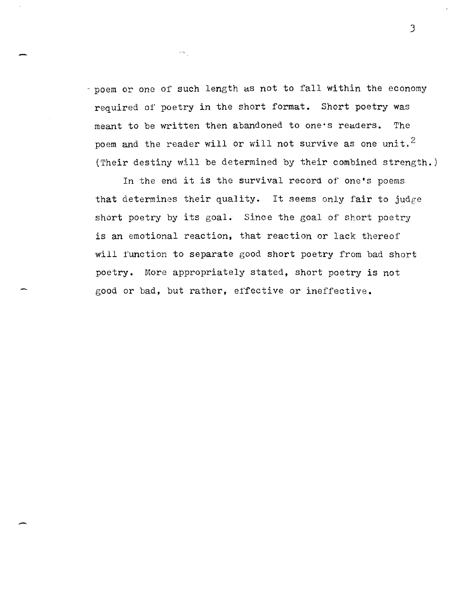- poem or one of such length as not to fall within the economy required of poetry in the short format. Short poetry was meant to be written then abandoned to one's readers. The poem and the reader will or will not survive as one unit.<sup>2</sup> (Their destiny will be determined by their combined strength.)

 $\sigma(\sigma_{\theta})$ 

In the end it is the survival record of one's poems that determines their quality. It seems only fair to judge short poetry by its goal. Since the goal of short poetry is an emotional reaction, that reaction or lack thereof will function to separate good short poetry from bad short poetry. More appropriately stated, short poetry is not good or bad, but rather, e1'fective or ineffective.

J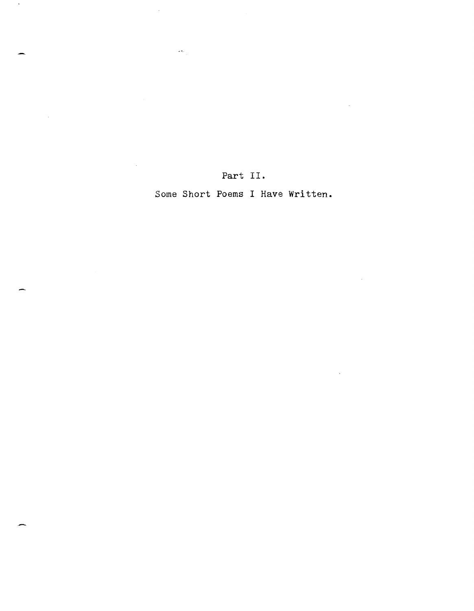Part II.

 $\mathcal{L}_{\mathcal{L}}$ 

 $\sim$ 

 $\sim$ 

 $\sim 10$ 

 $\langle \omega \rangle_{\rm{eq}}$ 

 $\sim$ 

 $\bar{z}$ 

Some Short Poems I Have Written.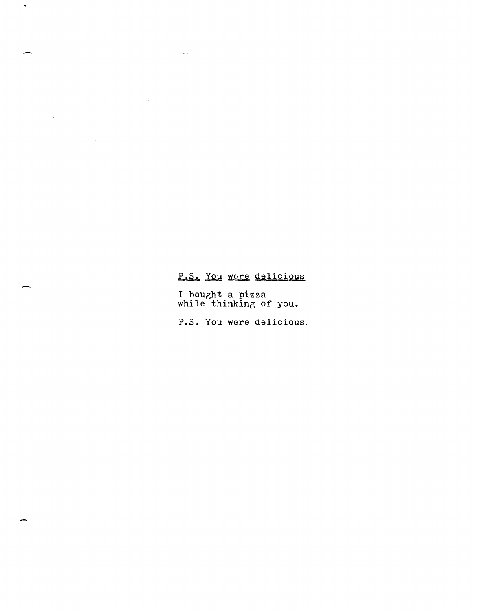## P.S. You were delicious

 $\sigma_{\rm c} \sigma_{\rm c}$ 

 $\overline{\phantom{a}}$ 

 $\sim 10^{-1}$ 

I bought a pizza while thinking of you.

P.s. You were delicious.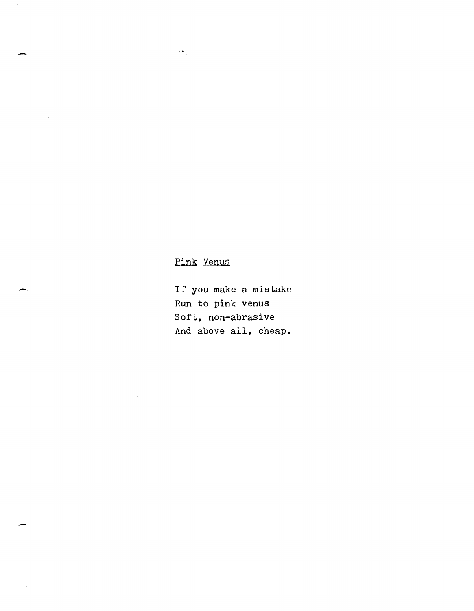## Pink Venus

 $\mathcal{L}_{\mathbf{w}_i}$ 

l.

If you make a mistake Run to pink venus Soft, non-abrasive And above all, cheap.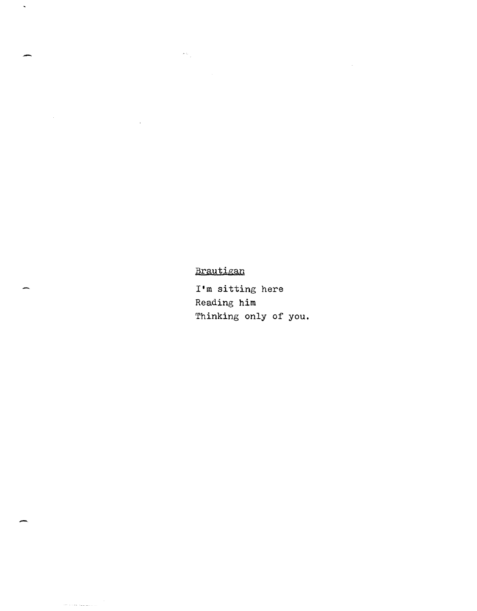Brautigan

 $\sigma(\sigma_{\rm{eff}})$ 

-

 $\hat{\mathbf{v}}$ 

-

 $\sim$  0.000  $\pm$  0.000  $\sim$  0.000  $\sim$  0.000  $\sim$  0.000  $\sim$ 

I'm sitting here Reading him Thinking only of you.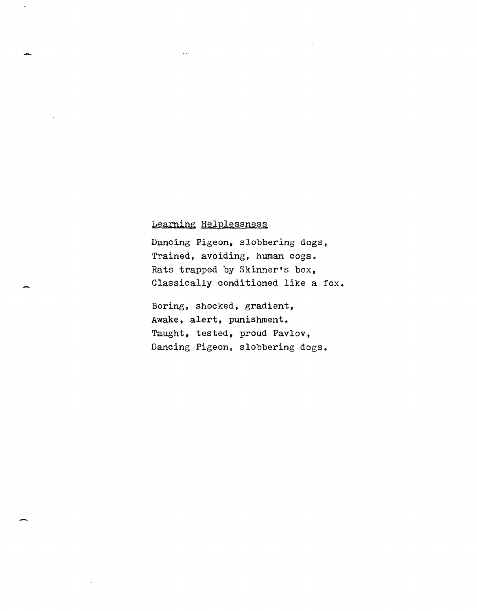### Learning Helplessness

 $\omega_{\rm{max}}$ 

Dancing Pigeon, slobbering dogs, Trained, avoiding, human cogs. Rats trapped by Skinner's box, Classically conditioned like a fox.

Boring, shocked, gradient, Awake, alert, punishment. Taught, tested, proud Pavlov, Dancing Pigeon. slobbering dogs.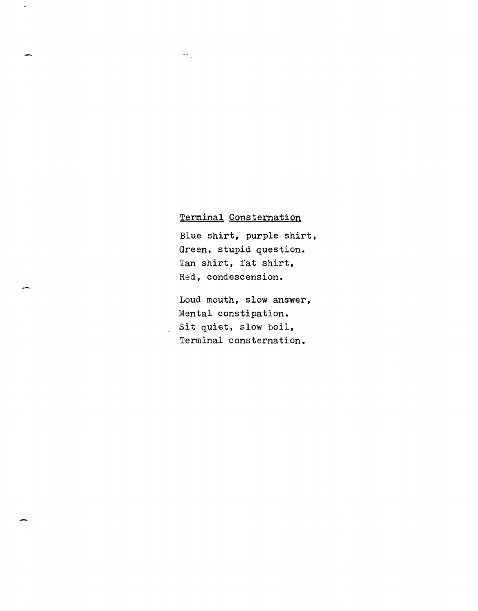### Terminal Consternation

 $\sim$   $\sim$ 

Blue shirt, purple shirt, Green, stupid question. Tan shirt, fat shirt, Red, condescension.

Loud mouth, slow answer, Mental constipation. Sit quiet, slow boil, Terminal consternation.

-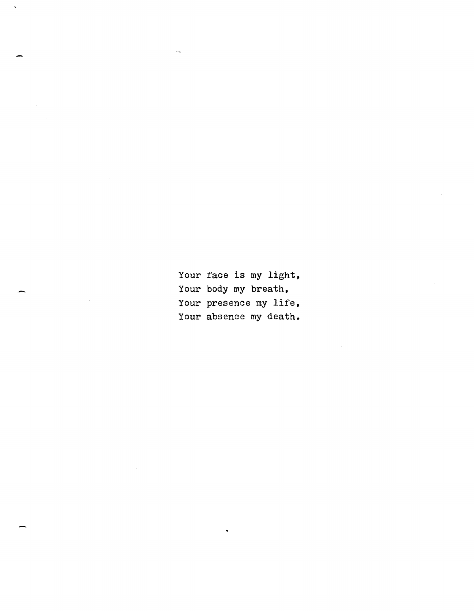Your face is my light, Your body my breath, Your presence my life, Your absence my death.

 $\frac{1}{2}$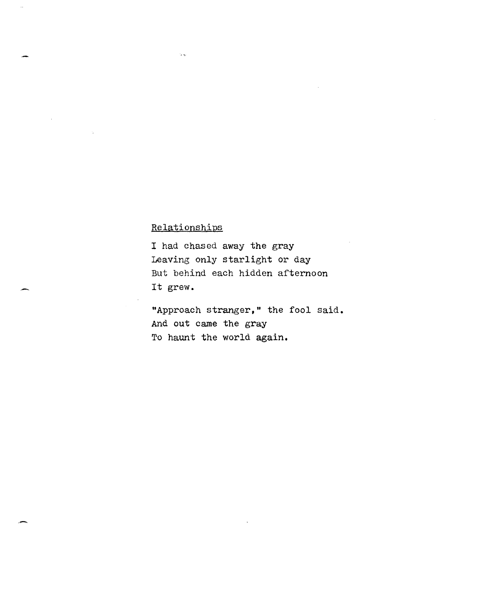### Relationships

I had chased away the gray Leaving only starlight or day But behind each hidden afternoon It grew.

"Approach stranger," the fool said. And out came the gray To haunt the world again.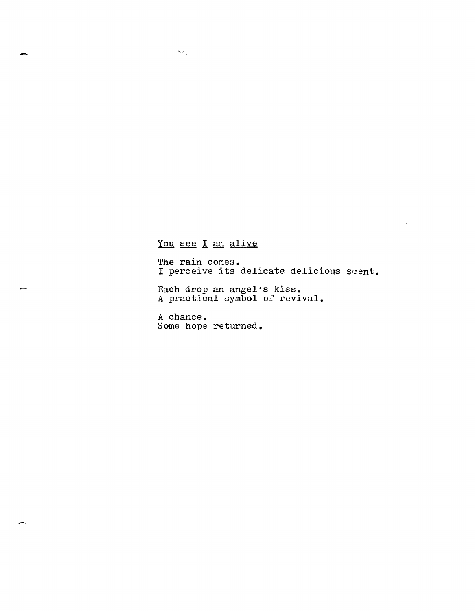### You see I am alive

 $\sim$ 

 $\ddot{\phantom{1}}$ 

The rain comes. I perceive its delicate delicious scent.

Each drop an angel's kiss. A practical symbol of revival.

A chance. Some hope returned.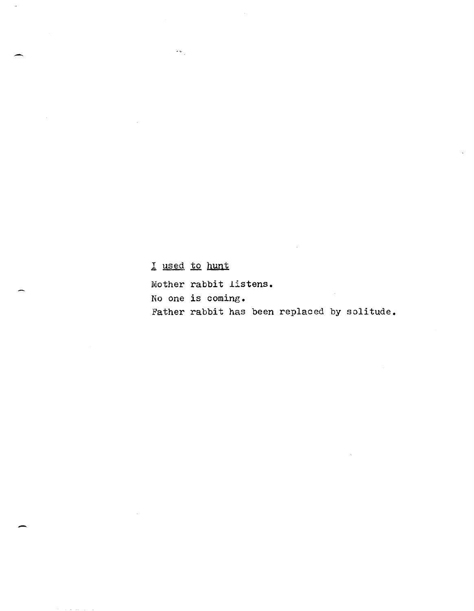# I used to hunt

 $\sim$   $\sim$ 

-

--

Mother rabbit listens.

No one is coming.

Father rabbit has been replaced by solitude.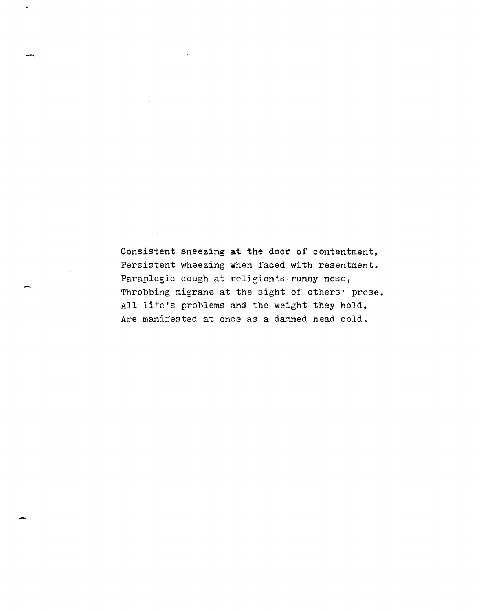Consistent sneezing at the door of contentment, Persistent wheezing when faced with resentment. Paraplegic cough at religion serunny nose, Throbbing migrane at the sight of others' prose. All lite's problems and the weight they hold, Are manifested at once as a damned head cold.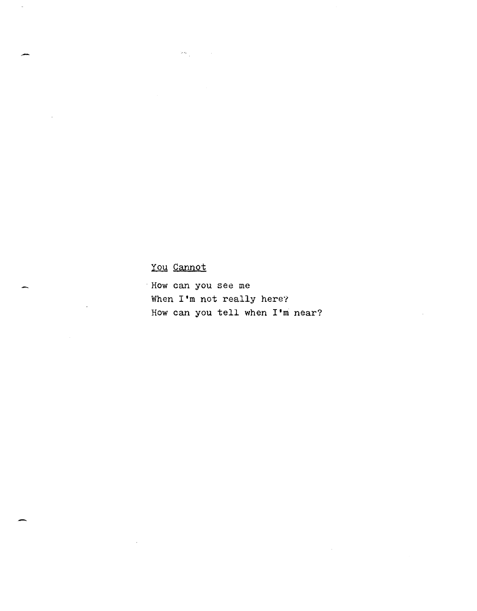## you Cannot

 $\label{eq:2} \frac{\partial}{\partial \theta} \left( \frac{\partial}{\partial \theta} \right) = 0.$ 

J.

. How can you see me When **I'm** not really here? How can you tell when **I'm** near?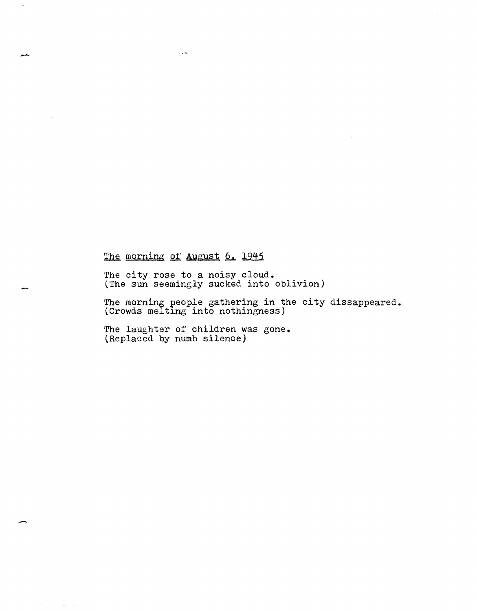### The morning of August 6. 1945

 $\delta \mathbf{v}_{\perp}$ 

The city rose to a noisy cloud. (The sun seemingly sucked into oblivion)

The morning people gathering in the city dissappeared. (Crowds melting into nothingness)

The laughter of children was gone. (Replaced by numb silence)

.-

بجيهر

 $\bar{a}$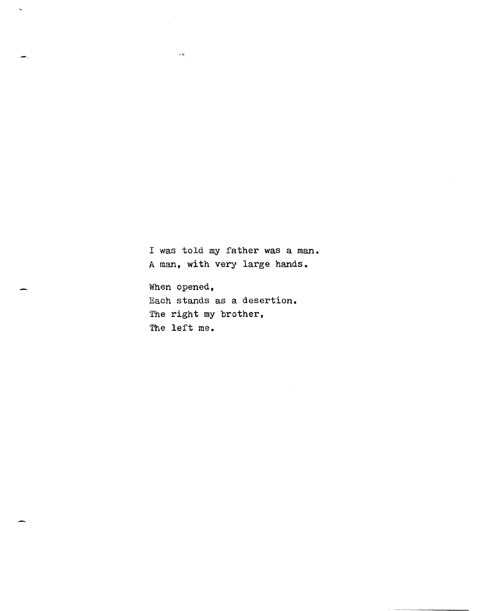I was told my father was a man. A man, with very large hands.

When opened, Each stands as a. desertion. The right my brother, The left me.

 $\delta \mathbf{v}_{\perp}$ 

 $\ddot{\phantom{0}}$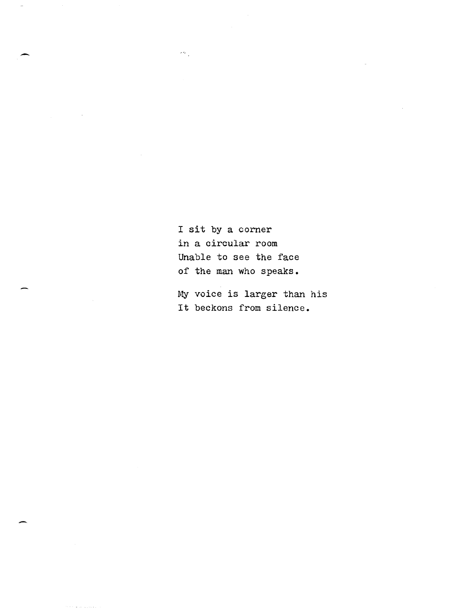I sit by a corner in a circular room Unable to see the face of the man who speaks.

 $\omega_{\rm g}$ 

My voice is larger than his It beckons from silence.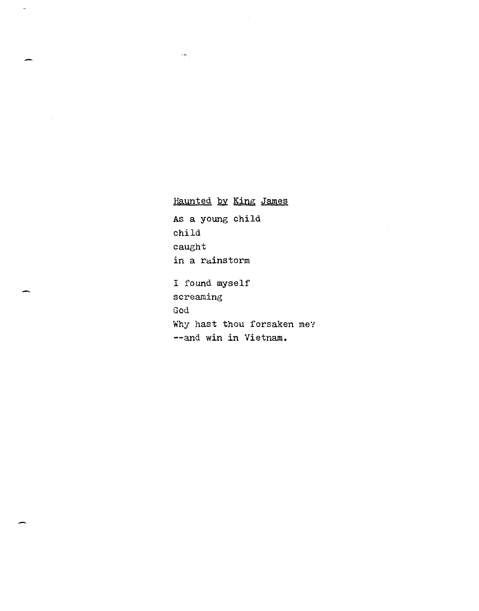Haunted by King James AS a young child child caught in a rainstorm I found myself screaming God Why hast thou forsaken me? --and win in Vietnam.

 $\sigma_{\rm{N}}$  .

 $\bar{\mathcal{A}}$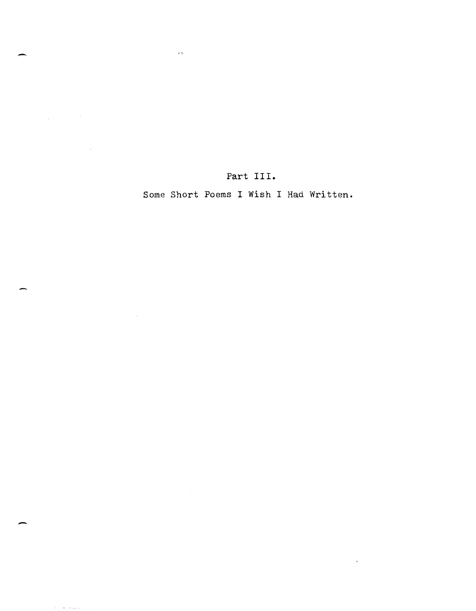Part **III.** 

 $\frac{1}{2}$   $\lesssim$ 

Some Short Poems I Wish I Had Written.

 $\sim 40^{\circ}$ 

-

 $\label{eq:2.1} \frac{1}{\sqrt{2\pi}}\int_{0}^{\infty}\frac{1}{\sqrt{2\pi}}\left(\frac{1}{\sqrt{2\pi}}\right)^{2}d\mu_{\rm{eff}}\,d\mu_{\rm{eff}}$ 

 $\sim$   $\sim$ 

 $\sim 10^6$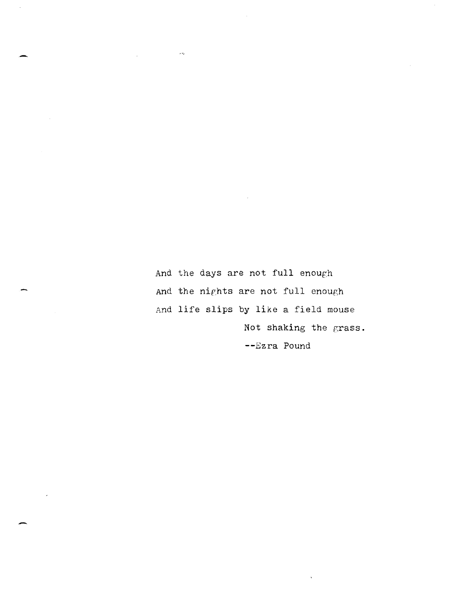And the days are not full enough And the nights are not full enough And life slips by like a field mouse Not shaking the grass. **--Ezra** Pound

 $\mathbf{\hat{v}}$ 

 $\sigma$   $\sigma_{\rm e}$ 

-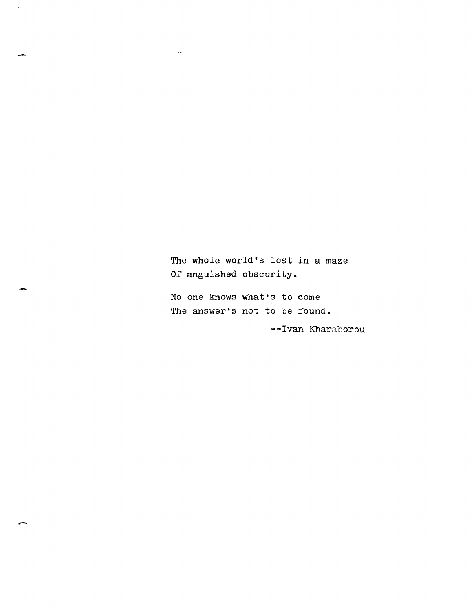The whole world's lost in a maze Of anguished obscurity.

No one knows what·s to come The answer·s not to be found.

 $\bar{z}$ 

 $\tilde{\mathcal{L}}_{\text{max}}$ 

--Ivan Kharaborou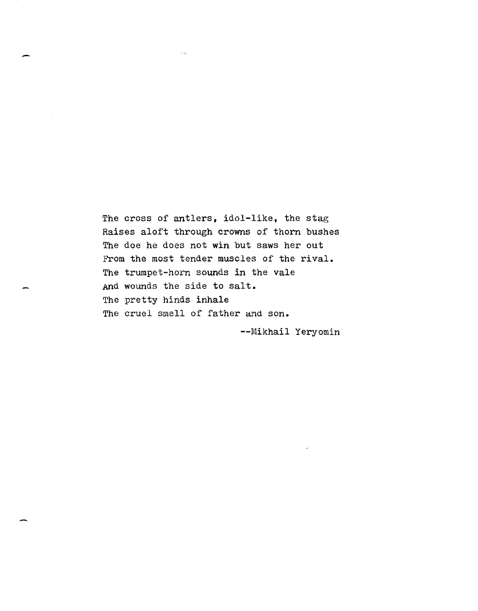The cross of antlers, idol-like, the stag Raises aloft through crowns of thorn bushes The doe he does not win but saws her out From the most tender muscles of the rival. The trumpet-horn sounds in the vale And wounds the side to salt. The pretty hinds inhale The cruel smell of father and son.

-

--Mikhail Yeryomin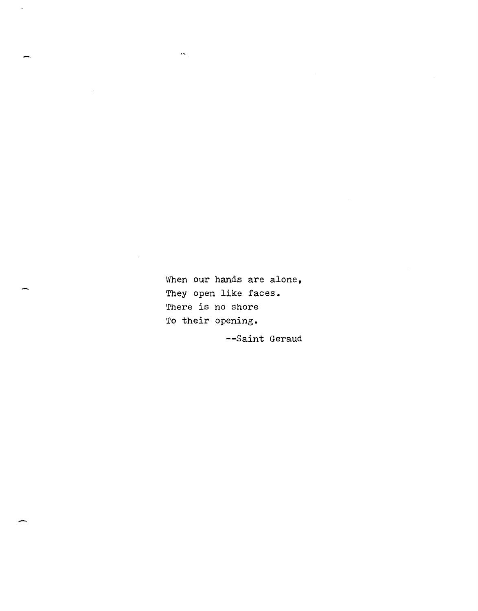When our hands are alone, They open like faces. There is no shore To their opening.

 $\epsilon_{\rm N}$ 

--Saint Geraud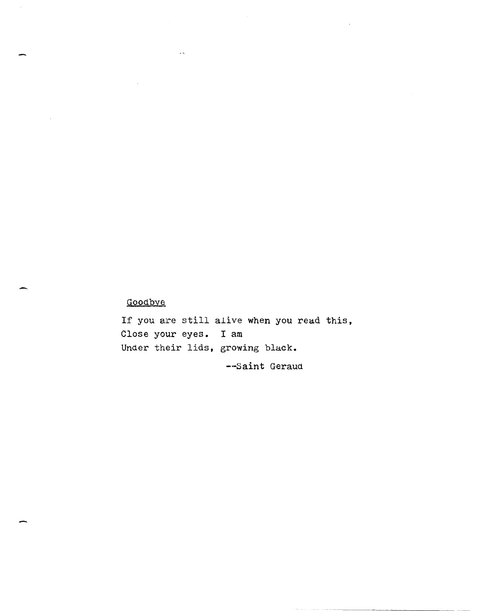### Goodbye

If you are still alive when you read this, Close your eyes. I am Under their lids, growing black. --Saint Geraud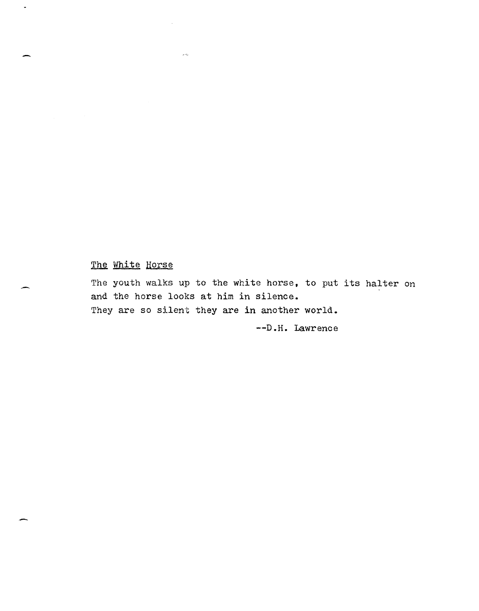## The White Horse

 $\hat{\sigma}(\vec{r})$ 

-

The youth walks up to the white horse, to put its halter on and the horse looks at him in silence. They are so silent they are in another world.

--D.H. Lawrence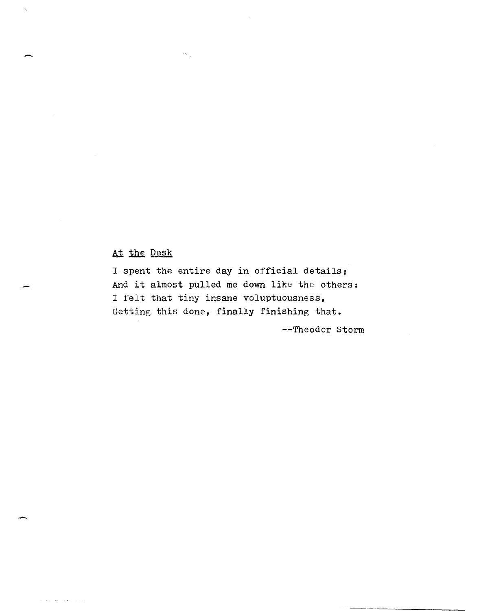### At the Desk

 $\omega_{\rm{p}}$ 

.-

 $\epsilon_{\rm s}$ 

-

and was awarded to control.

I spent the entire day in official details; And it almost pulled me down like the others: I felt that tiny insane voluptuousness, Getting this done, finally finishing that.

--Theodor storm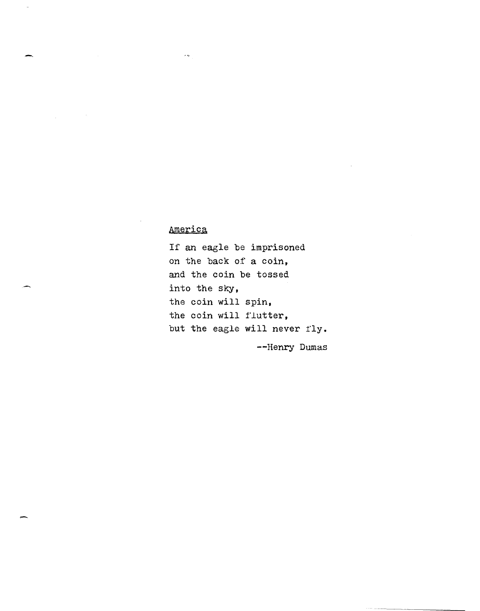### America

 $\hat{\theta}$ 

-.

If an eagle be imprisoned on the back of a coin, and the coin be tossed into the sky, the coin will spin, the coin will f'lutter, but the eagle will never fly.

--Henry Dumas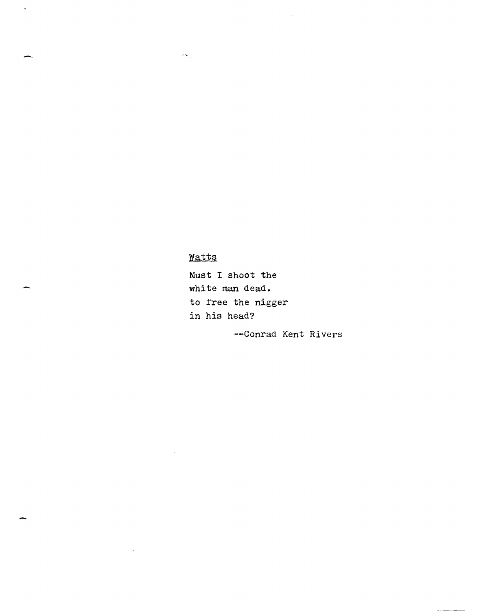# Watts

 $\delta \approx \frac{1}{\beta}$ 

--

 $\bar{\mathcal{A}}$ 

Must I shoot the white man dead. to free the nigger in his head?

'--Conrad Kent Rivers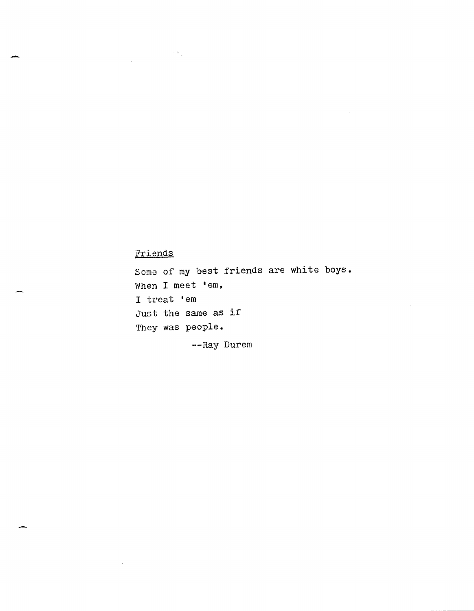## Friends

 $\sim$   $\sim$   $\sim$ 

-

-

Some of my best friends are white boys. When I meet 'em, <sup>I</sup>treat 'em Just the same as if They was people.

--Ray Durem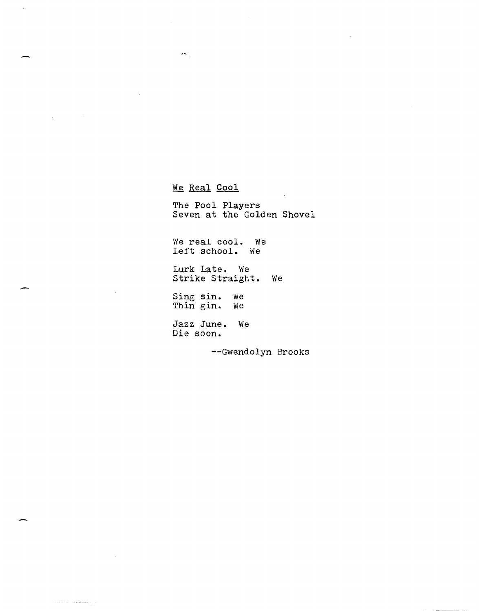We Real Cool

 $\delta\lesssim \frac{1}{2}$ 

The Pool Players Seven at the Golden Shovel

We real cool. We Left school. We

Lurk Late. We Strike Straight. We

Sing sin. We Thin gin. We

Jazz June. We Die soon.

--Gwendolyn Brooks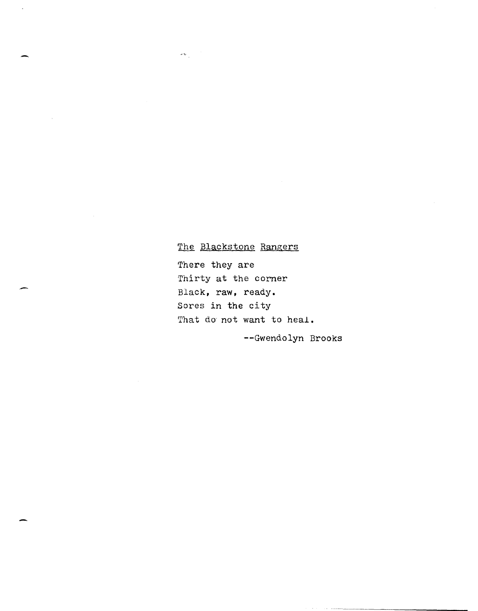### The Blackstone Rangers

 $\omega \in \mathbb{R}^d$ 

.-

-

There they are Thirty at the corner Black, raw, ready. Sores in the city That do not want to heal.

--Gwendolyn Brooks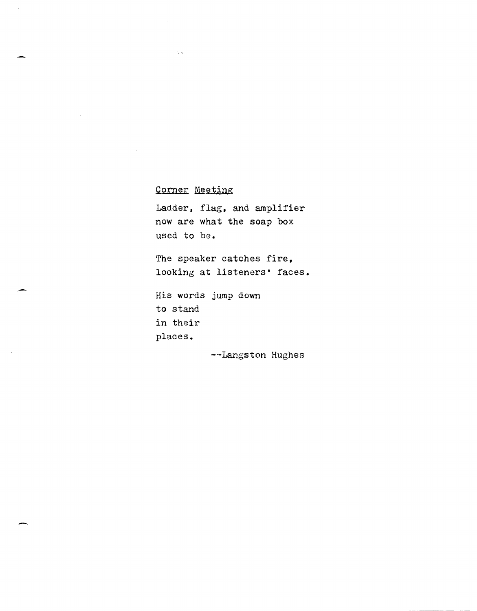### Corner Meeting

Ladder, flag, and amplifier now are what the soap box used to be.

The speaker catches fire. looking at listeners' faces.

His words jump down to stand in their places.

-

--Langston Hughes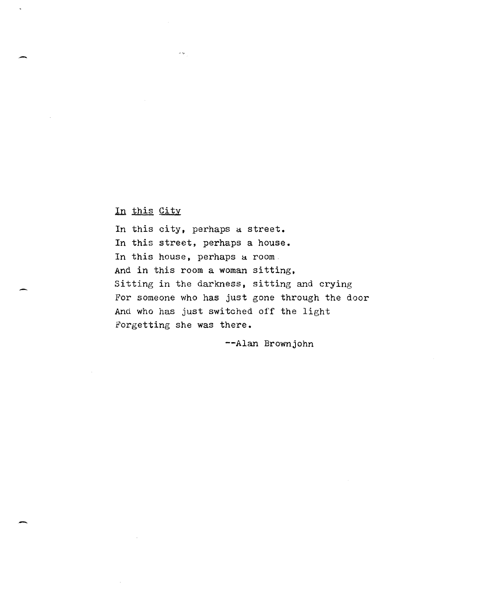In this City

In this city, perhaps a street. In this street, perhaps a house. In this house, perhaps a room And in this room a woman sitting, Sitting in the darkness, sitting and crying For someone who has just gone through the door And who has just switched off the light Forgetting she was there.

--Alan Brownjohn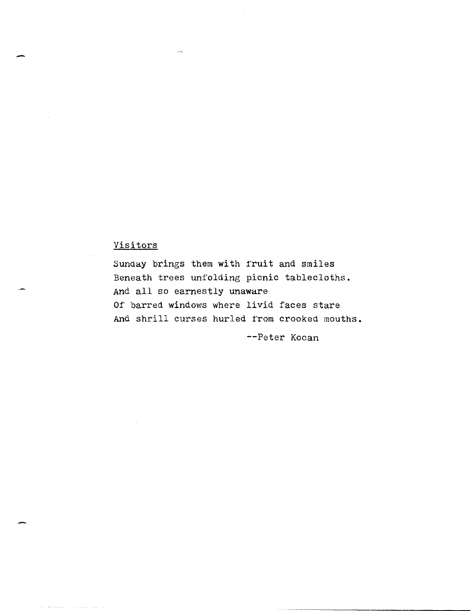### Visitors

 $\omega$   $\omega_{\rm e}$ 

-

Sunday brings them with fruit and smiles Beneath trees unfolding picnic tablecloths. And all so earnestly unaware Of barred windows where livid faces stare And shrill curses hurled from crooked mouths.

--Peter Kocan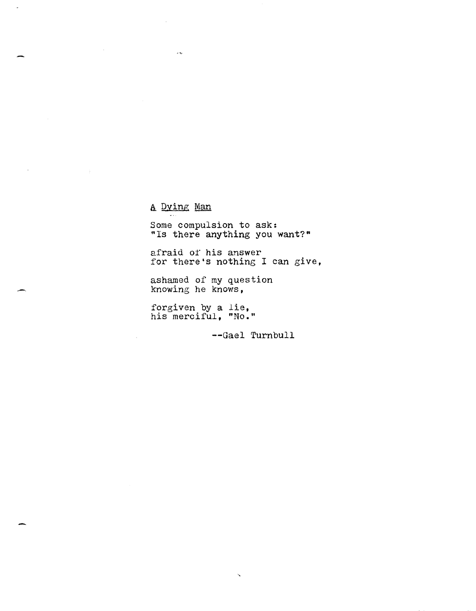A Dying Man

 $\mathcal{L}_{\mathcal{A}}$ 

Some compulsion to ask: "Is there anything you want?"

afraid of his answer for there's nothing I can give,

ashamed of my question knowing he knows,

forgiven by a lie, his merciful, "No."

--Gael Turnbull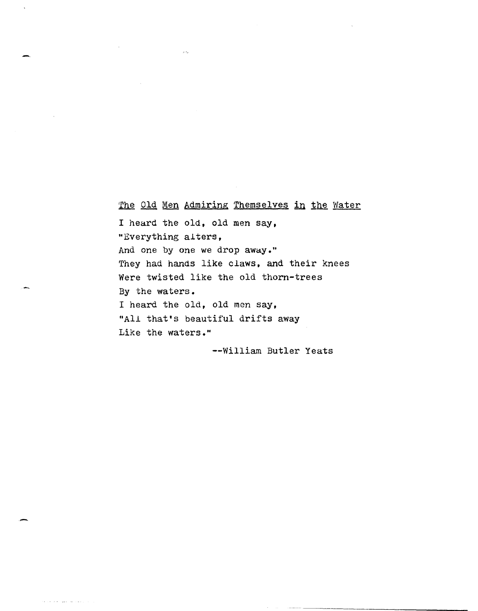The Old Men Admiring Themselves in the Water

I heard the old, old men say, "Everything alters, And one by one we drop away." They had hands like claws, and their knees Were twisted like the old thorn-trees By the waters. I heard the old, old men say, "All that's beautiful drifts away Like the waters."

-

وكالمستحقق الأساء والمناور

--William Butler Yeats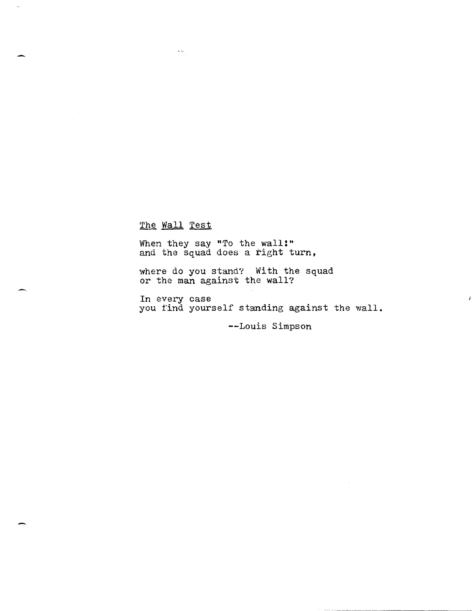### The Wall Test

 $\sim 10^{-1}$ 

 $\ddotsc$ 

When they say "To the wall!" and the squad does a right turn,

where do you stand? With the squad or the man against the wall?

In every case you find yourself standing against the wall.

--Louis Simpson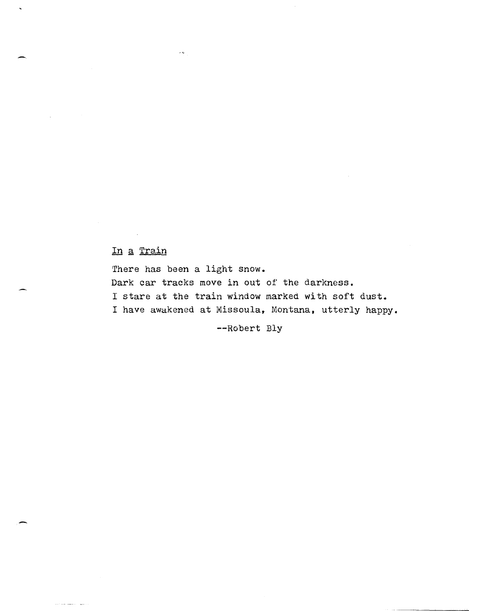### In a Train

na amin'ny sor

-.

There has been a light snow. Dark car tracks move in out of the darkness. I stare at the train window marked with soft dust. I have awakened at Missoula, Montana, utterly happy.

--Robert Bly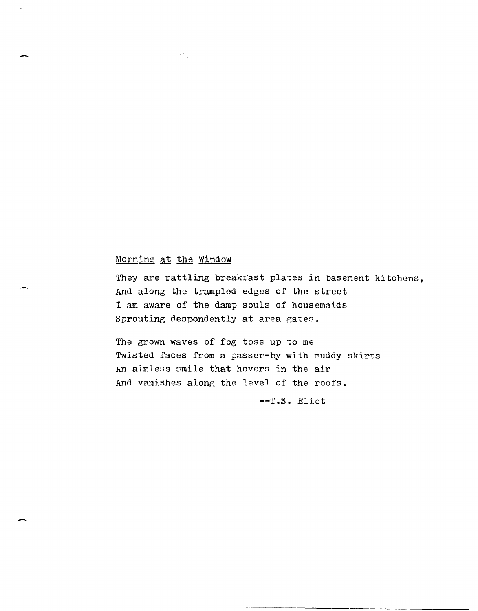#### Morning at the Window

 $\sim$   $\sim$ 

-

They are rattling breaktast plates in basement kitchens, And along the trampled edges of the street I am aware of the damp souls of housemaids Sprouting despondently at area gates.

The grown waves of fog toss up to me Twisted faces from a passer-by with muddy skirts An aimless smile that hovers in the air And vanishes along the level of the roofs.

--T.S. Eliot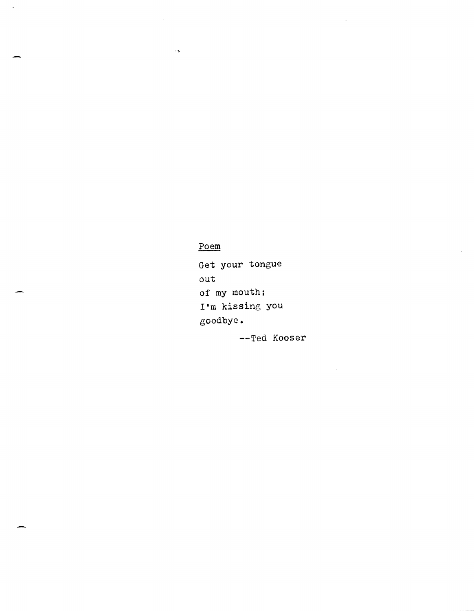### $\underline{\text{Poem}}$

 $\bar{\nu}$ 

 $\ddot{\phantom{a}}$ 

Get your tongue out of my mouth; r'm kissing you goodbye.

--Ted Kooser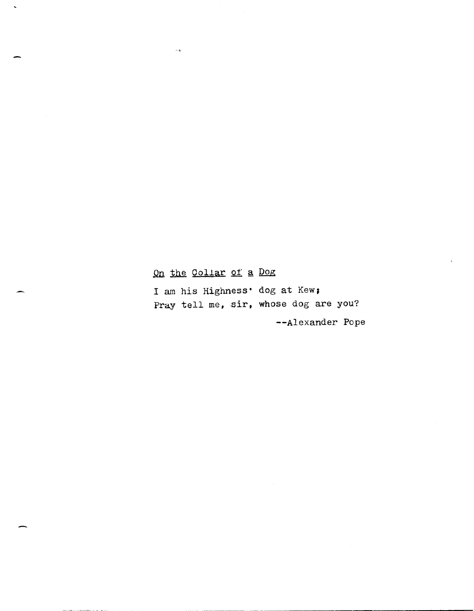## On the Collar of a Dog

.<br>د به د

-

 $\ddot{\phantom{1}}$ 

I am his Highness' dog at Kew; Pray tell me, sir, whose dog are you? --Alexander Pope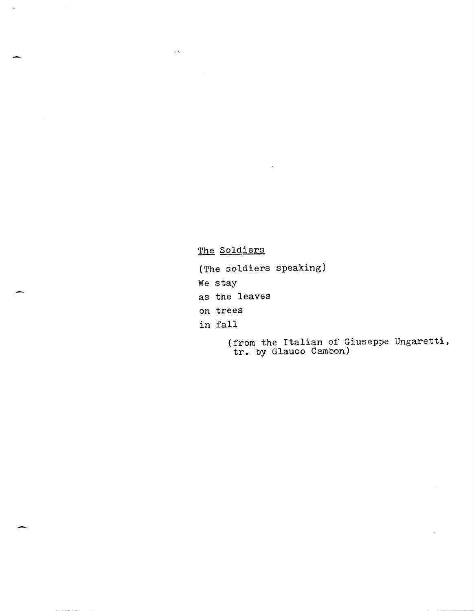### The Soldiers

- (The soldiers speaking)
- We stay

 $\omega <$ 

- as the leaves
- on trees
- in fall

-

(from the Italian of Giuseppe Ungaretti, trom the Italian of G.<br>tr. by Glauco Cambon)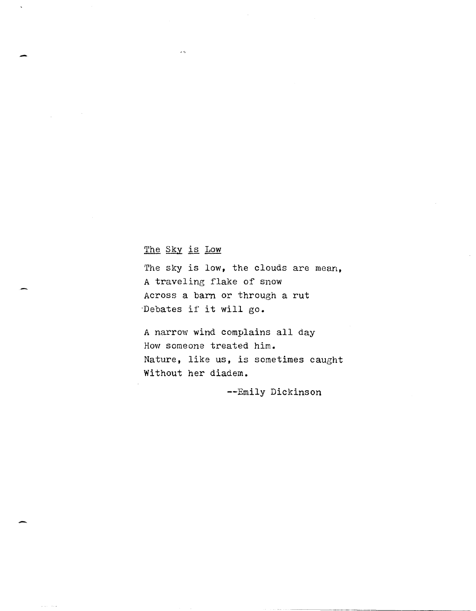### The Sky is Low

-

The sky is low, the clouds are mean, A traveling flake of snow Across a barn or through a rut ·Debates if it will go.

A narrow wind complains all day How someone treated him. Nature, like us, is sometimes caught Without her diadem.

--Emily Dickinson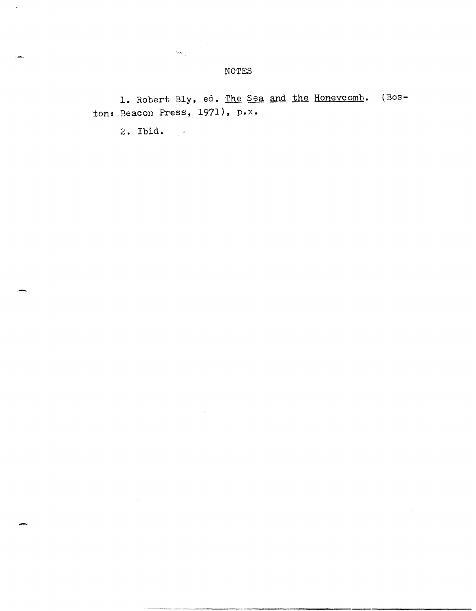1. Robert Bly, ed. The Sea and the Honeycomb. (Boston: Beacon Press, 1971), p.x.

2. Ibid.

 $\sim$ 

 $\mathcal{Q}_{\mathcal{B}}$  .

 $\sim 10$ 

-

 $\bar{z}$